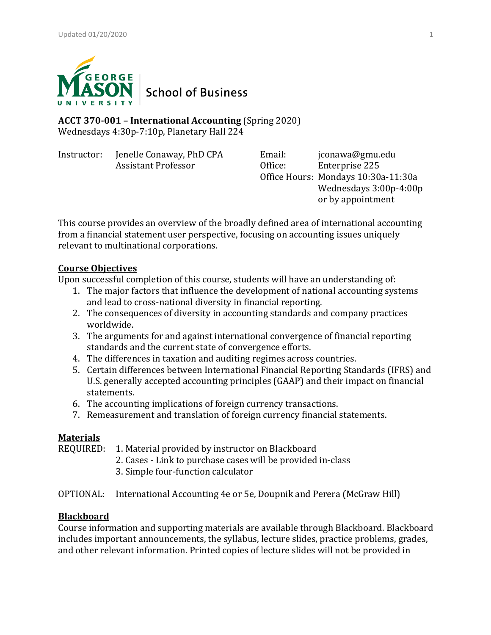

# **ACCT 370-001 – International Accounting** (Spring 2020) Wednesdays 4:30p-7:10p, Planetary Hall 224

| Instructor: | Jenelle Conaway, PhD CPA   | Email:  | jconawa@gmu.edu                     |
|-------------|----------------------------|---------|-------------------------------------|
|             | <b>Assistant Professor</b> | Office: | Enterprise 225                      |
|             |                            |         | Office Hours: Mondays 10:30a-11:30a |
|             |                            |         | Wednesdays 3:00p-4:00p              |
|             |                            |         | or by appointment                   |
|             |                            |         |                                     |

This course provides an overview of the broadly defined area of international accounting from a financial statement user perspective, focusing on accounting issues uniquely relevant to multinational corporations.

# **Course Objectives**

Upon successful completion of this course, students will have an understanding of:

- 1. The major factors that influence the development of national accounting systems and lead to cross-national diversity in financial reporting.
- 2. The consequences of diversity in accounting standards and company practices worldwide.
- 3. The arguments for and against international convergence of financial reporting standards and the current state of convergence efforts.
- 4. The differences in taxation and auditing regimes across countries.
- 5. Certain differences between International Financial Reporting Standards (IFRS) and U.S. generally accepted accounting principles (GAAP) and their impact on financial statements.
- 6. The accounting implications of foreign currency transactions.
- 7. Remeasurement and translation of foreign currency financial statements.

# **Materials**

REQUIRED: 1. Material provided by instructor on Blackboard

- 2. Cases Link to purchase cases will be provided in-class
- 3. Simple four-function calculator
- OPTIONAL: International Accounting 4e or 5e, Doupnik and Perera (McGraw Hill)

# **Blackboard**

Course information and supporting materials are available through Blackboard. Blackboard includes important announcements, the syllabus, lecture slides, practice problems, grades, and other relevant information. Printed copies of lecture slides will not be provided in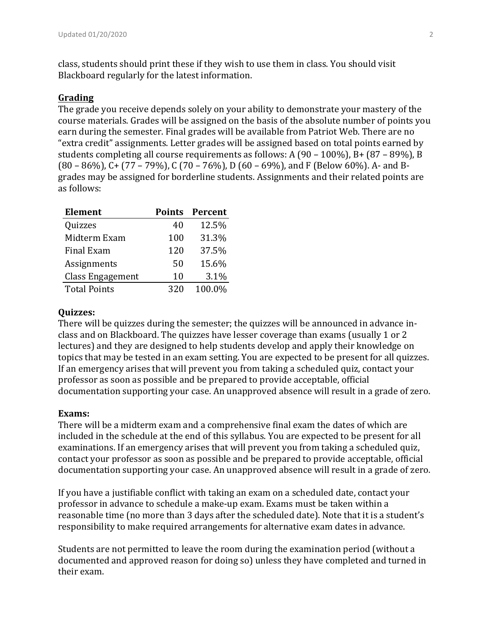class, students should print these if they wish to use them in class. You should visit Blackboard regularly for the latest information.

## **Grading**

The grade you receive depends solely on your ability to demonstrate your mastery of the course materials. Grades will be assigned on the basis of the absolute number of points you earn during the semester. Final grades will be available from Patriot Web. There are no "extra credit" assignments. Letter grades will be assigned based on total points earned by students completing all course requirements as follows: A  $(90 - 100\%)$ , B+  $(87 - 89\%)$ , B  $(80 - 86\%)$ , C+  $(77 - 79\%)$ , C  $(70 - 76\%)$ , D  $(60 - 69\%)$ , and F (Below 60%). A- and Bgrades may be assigned for borderline students. Assignments and their related points are as follows:

| <b>Element</b>          |     | <b>Points Percent</b> |
|-------------------------|-----|-----------------------|
| Quizzes                 | 40  | 12.5%                 |
| Midterm Exam            | 100 | 31.3%                 |
| <b>Final Exam</b>       | 120 | 37.5%                 |
| Assignments             | 50  | 15.6%                 |
| <b>Class Engagement</b> | 10  | 3.1%                  |
| <b>Total Points</b>     | 320 | 100.0%                |

### **Quizzes:**

There will be quizzes during the semester; the quizzes will be announced in advance inclass and on Blackboard. The quizzes have lesser coverage than exams (usually 1 or 2 lectures) and they are designed to help students develop and apply their knowledge on topics that may be tested in an exam setting. You are expected to be present for all quizzes. If an emergency arises that will prevent you from taking a scheduled quiz, contact your professor as soon as possible and be prepared to provide acceptable, official documentation supporting your case. An unapproved absence will result in a grade of zero.

#### Exams:

There will be a midterm exam and a comprehensive final exam the dates of which are included in the schedule at the end of this syllabus. You are expected to be present for all examinations. If an emergency arises that will prevent you from taking a scheduled quiz, contact your professor as soon as possible and be prepared to provide acceptable, official documentation supporting your case. An unapproved absence will result in a grade of zero.

If you have a justifiable conflict with taking an exam on a scheduled date, contact your professor in advance to schedule a make-up exam. Exams must be taken within a reasonable time (no more than 3 days after the scheduled date). Note that it is a student's responsibility to make required arrangements for alternative exam dates in advance.

Students are not permitted to leave the room during the examination period (without a documented and approved reason for doing so) unless they have completed and turned in their exam.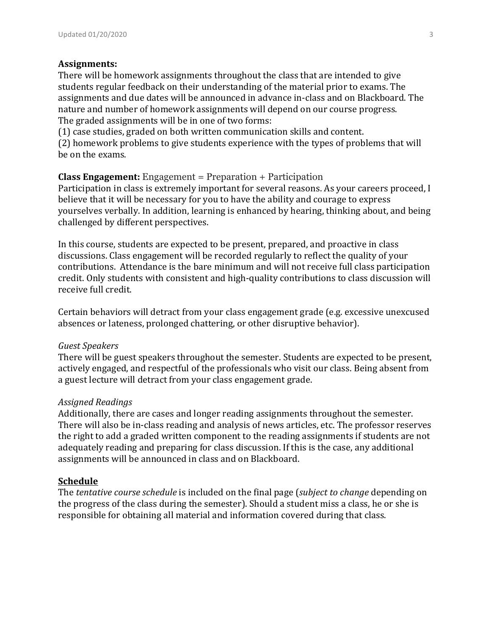### **Assignments:**

There will be homework assignments throughout the class that are intended to give students regular feedback on their understanding of the material prior to exams. The assignments and due dates will be announced in advance in-class and on Blackboard. The nature and number of homework assignments will depend on our course progress. The graded assignments will be in one of two forms:

(1) case studies, graded on both written communication skills and content.

(2) homework problems to give students experience with the types of problems that will be on the exams.

# **Class Engagement:** Engagement = Preparation + Participation

Participation in class is extremely important for several reasons. As your careers proceed, I believe that it will be necessary for you to have the ability and courage to express yourselves verbally. In addition, learning is enhanced by hearing, thinking about, and being challenged by different perspectives.

In this course, students are expected to be present, prepared, and proactive in class discussions. Class engagement will be recorded regularly to reflect the quality of your contributions. Attendance is the bare minimum and will not receive full class participation credit. Only students with consistent and high-quality contributions to class discussion will receive full credit.

Certain behaviors will detract from your class engagement grade (e.g. excessive unexcused absences or lateness, prolonged chattering, or other disruptive behavior).

### *Guest Speakers*

There will be guest speakers throughout the semester. Students are expected to be present, actively engaged, and respectful of the professionals who visit our class. Being absent from a guest lecture will detract from your class engagement grade.

### *Assigned Readings*

Additionally, there are cases and longer reading assignments throughout the semester. There will also be in-class reading and analysis of news articles, etc. The professor reserves the right to add a graded written component to the reading assignments if students are not adequately reading and preparing for class discussion. If this is the case, any additional assignments will be announced in class and on Blackboard.

### **Schedule**

The *tentative course schedule* is included on the final page (*subject to change* depending on the progress of the class during the semester). Should a student miss a class, he or she is responsible for obtaining all material and information covered during that class.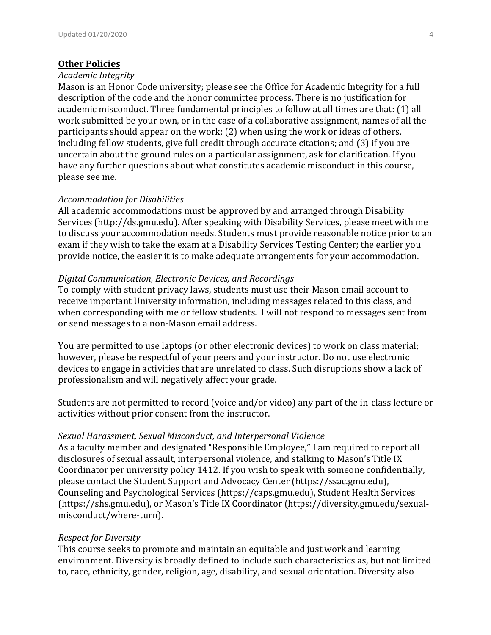#### **Other Policies**

### *Academic Integrity*

Mason is an Honor Code university; please see the Office for Academic Integrity for a full description of the code and the honor committee process. There is no justification for academic misconduct. Three fundamental principles to follow at all times are that: (1) all work submitted be your own, or in the case of a collaborative assignment, names of all the participants should appear on the work;  $(2)$  when using the work or ideas of others, including fellow students, give full credit through accurate citations; and (3) if you are uncertain about the ground rules on a particular assignment, ask for clarification. If you have any further questions about what constitutes academic misconduct in this course, please see me.

### *Accommodation for Disabilities*

All academic accommodations must be approved by and arranged through Disability Services (http://ds.gmu.edu). After speaking with Disability Services, please meet with me to discuss your accommodation needs. Students must provide reasonable notice prior to an exam if they wish to take the exam at a Disability Services Testing Center; the earlier you provide notice, the easier it is to make adequate arrangements for your accommodation.

### *Digital Communication, Electronic Devices, and Recordings*

To comply with student privacy laws, students must use their Mason email account to receive important University information, including messages related to this class, and when corresponding with me or fellow students. I will not respond to messages sent from or send messages to a non-Mason email address.

You are permitted to use laptops (or other electronic devices) to work on class material; however, please be respectful of your peers and your instructor. Do not use electronic devices to engage in activities that are unrelated to class. Such disruptions show a lack of professionalism and will negatively affect your grade.

Students are not permitted to record (voice and/or video) any part of the in-class lecture or activities without prior consent from the instructor.

### Sexual Harassment, Sexual Misconduct, and Interpersonal Violence

As a faculty member and designated "Responsible Employee," I am required to report all disclosures of sexual assault, interpersonal violence, and stalking to Mason's Title IX Coordinator per university policy 1412. If you wish to speak with someone confidentially, please contact the Student Support and Advocacy Center (https://ssac.gmu.edu), Counseling and Psychological Services (https://caps.gmu.edu), Student Health Services (https://shs.gmu.edu), or Mason's Title IX Coordinator (https://diversity.gmu.edu/sexualmisconduct/where-turn).

### *Respect for Diversity*

This course seeks to promote and maintain an equitable and just work and learning environment. Diversity is broadly defined to include such characteristics as, but not limited to, race, ethnicity, gender, religion, age, disability, and sexual orientation. Diversity also